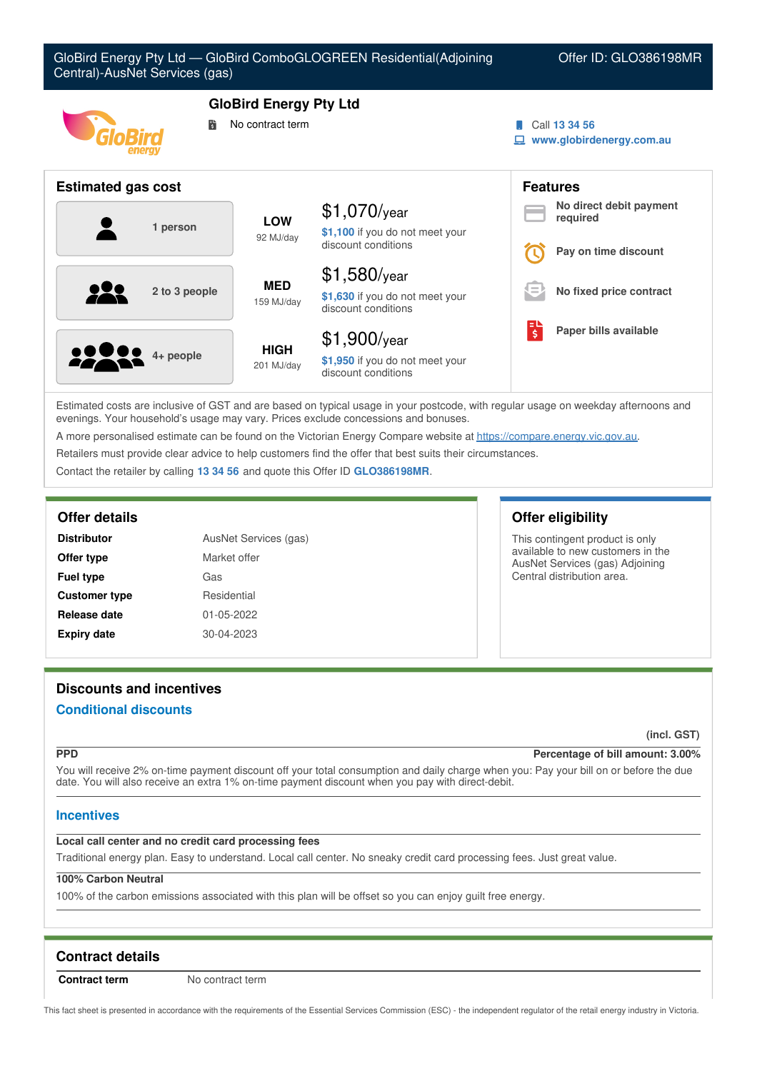| Central)-AusNet Services (gas) |                                                        | GloBird Energy Pty Ltd - GloBird ComboGLOGREEN Residential(Adjoining | Offer ID: GLO386198MR                          |  |
|--------------------------------|--------------------------------------------------------|----------------------------------------------------------------------|------------------------------------------------|--|
|                                | <b>GloBird Energy Pty Ltd</b><br>No contract term<br>鬜 |                                                                      | Call 13 34 56<br>www.globirdenergy.com.au<br>▭ |  |
| <b>Estimated gas cost</b>      |                                                        |                                                                      | <b>Features</b>                                |  |
| 1 person                       | <b>LOW</b>                                             | \$1,070/year                                                         | No direct debit payment<br>required            |  |
|                                | 92 MJ/day                                              | \$1,100 if you do not meet your<br>discount conditions               | Pay on time discount                           |  |
|                                | <b>MED</b>                                             | $$1,580$ /year                                                       |                                                |  |
| 2 to 3 people                  | 159 MJ/day                                             | \$1,630 if you do not meet your<br>discount conditions               | No fixed price contract                        |  |
|                                |                                                        | $.900$ /vear<br>\$1                                                  | Paper bills available                          |  |

Estimated costs are inclusive of GST and are based on typical usage in your postcode, with regular usage on weekday afternoons and evenings. Your household's usage may vary. Prices exclude concessions and bonuses.

discount conditions

**\$1,950** if you do not meet your

A more personalised estimate can be found on the Victorian Energy Compare website at <https://compare.energy.vic.gov.au>.

Retailers must provide clear advice to help customers find the offer that best suits their circumstances.

201 MJ/day

Contact the retailer by calling **13 34 56** and quote this Offer ID **GLO386198MR**.

**4+ people HIGH**

| <b>Distributor</b>   | AusNet Services (gas) |  |
|----------------------|-----------------------|--|
| Offer type           | Market offer          |  |
| <b>Fuel type</b>     | Gas                   |  |
| <b>Customer type</b> | Residential           |  |
| Release date         | 01-05-2022            |  |
| <b>Expiry date</b>   | 30-04-2023            |  |

# **Offer details Offer eligibility**

This contingent product is only available to new customers in the AusNet Services (gas) Adjoining Central distribution area.

# **Discounts and incentives**

# **Conditional discounts**

**(incl. GST)**

### **PPD Percentage of bill amount: 3.00%**

You will receive 2% on-time payment discount off your total consumption and daily charge when you: Pay your bill on or before the due date. You will also receive an extra 1% on-time payment discount when you pay with direct-debit.

# **Incentives**

### **Local call center and no credit card processing fees**

Traditional energy plan. Easy to understand. Local call center. No sneaky credit card processing fees. Just great value.

# **100% Carbon Neutral**

100% of the carbon emissions associated with this plan will be offset so you can enjoy guilt free energy.

# **Contract details**

**Contract term** No contract term

This fact sheet is presented in accordance with the requirements of the Essential Services Commission (ESC) - the independent regulator of the retail energy industry in Victoria.